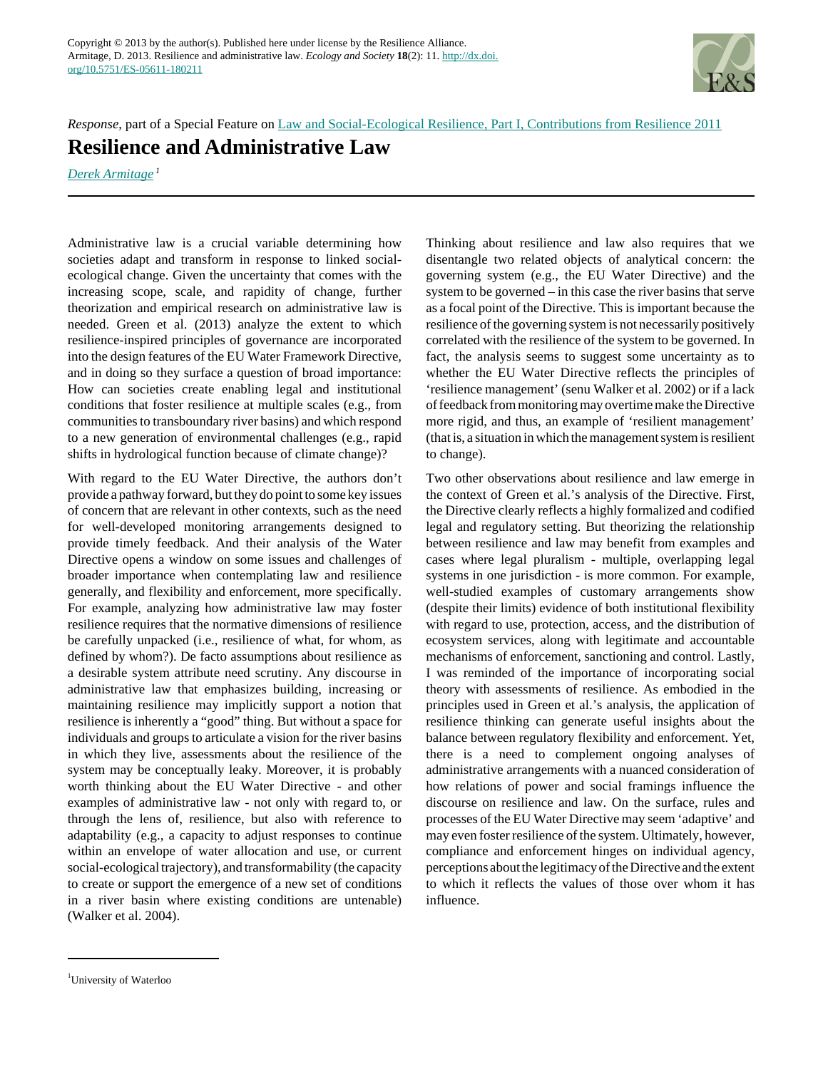

*Response*, part of a Special Feature on [Law and Social-Ecological Resilience, Part I, Contributions from Resilience 2011](http://www.ecologyandsociety.org/viewissue.php?sf=78) **Resilience and Administrative Law**

*[Derek Armitage](mailto:derek.armitage@uwaterloo.ca)<sup>1</sup>*

Administrative law is a crucial variable determining how societies adapt and transform in response to linked socialecological change. Given the uncertainty that comes with the increasing scope, scale, and rapidity of change, further theorization and empirical research on administrative law is needed. Green et al. (2013) analyze the extent to which resilience-inspired principles of governance are incorporated into the design features of the EU Water Framework Directive, and in doing so they surface a question of broad importance: How can societies create enabling legal and institutional conditions that foster resilience at multiple scales (e.g., from communities to transboundary river basins) and which respond to a new generation of environmental challenges (e.g., rapid shifts in hydrological function because of climate change)?

With regard to the EU Water Directive, the authors don't provide a pathway forward, but they do point to some key issues of concern that are relevant in other contexts, such as the need for well-developed monitoring arrangements designed to provide timely feedback. And their analysis of the Water Directive opens a window on some issues and challenges of broader importance when contemplating law and resilience generally, and flexibility and enforcement, more specifically. For example, analyzing how administrative law may foster resilience requires that the normative dimensions of resilience be carefully unpacked (i.e., resilience of what, for whom, as defined by whom?). De facto assumptions about resilience as a desirable system attribute need scrutiny. Any discourse in administrative law that emphasizes building, increasing or maintaining resilience may implicitly support a notion that resilience is inherently a "good" thing. But without a space for individuals and groups to articulate a vision for the river basins in which they live, assessments about the resilience of the system may be conceptually leaky. Moreover, it is probably worth thinking about the EU Water Directive - and other examples of administrative law - not only with regard to, or through the lens of, resilience, but also with reference to adaptability (e.g., a capacity to adjust responses to continue within an envelope of water allocation and use, or current social-ecological trajectory), and transformability (the capacity to create or support the emergence of a new set of conditions in a river basin where existing conditions are untenable) (Walker et al. 2004).

Thinking about resilience and law also requires that we disentangle two related objects of analytical concern: the governing system (e.g., the EU Water Directive) and the system to be governed – in this case the river basins that serve as a focal point of the Directive. This is important because the resilience of the governing system is not necessarily positively correlated with the resilience of the system to be governed. In fact, the analysis seems to suggest some uncertainty as to whether the EU Water Directive reflects the principles of 'resilience management' (senu Walker et al. 2002) or if a lack of feedback from monitoring may overtime make the Directive more rigid, and thus, an example of 'resilient management' (that is, a situation in which the management system is resilient to change).

Two other observations about resilience and law emerge in the context of Green et al.'s analysis of the Directive. First, the Directive clearly reflects a highly formalized and codified legal and regulatory setting. But theorizing the relationship between resilience and law may benefit from examples and cases where legal pluralism - multiple, overlapping legal systems in one jurisdiction - is more common. For example, well-studied examples of customary arrangements show (despite their limits) evidence of both institutional flexibility with regard to use, protection, access, and the distribution of ecosystem services, along with legitimate and accountable mechanisms of enforcement, sanctioning and control. Lastly, I was reminded of the importance of incorporating social theory with assessments of resilience. As embodied in the principles used in Green et al.'s analysis, the application of resilience thinking can generate useful insights about the balance between regulatory flexibility and enforcement. Yet, there is a need to complement ongoing analyses of administrative arrangements with a nuanced consideration of how relations of power and social framings influence the discourse on resilience and law. On the surface, rules and processes of the EU Water Directive may seem 'adaptive' and may even foster resilience of the system. Ultimately, however, compliance and enforcement hinges on individual agency, perceptions about the legitimacy of the Directive and the extent to which it reflects the values of those over whom it has influence.